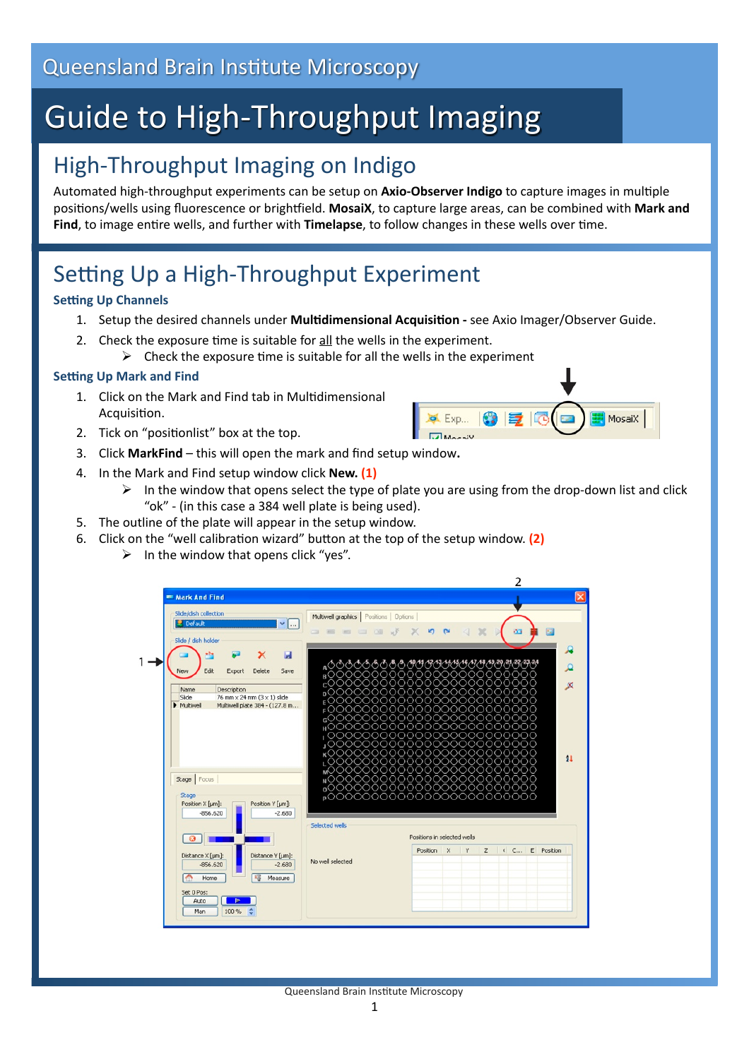# Guide to High‐Throughput Imaging

### High‐Throughput Imaging on Indigo

Automated high-throughput experiments can be setup on Axio-Observer Indigo to capture images in multiple positions/wells using fluorescence or brightfield. MosaiX, to capture large areas, can be combined with Mark and Find, to image entire wells, and further with **Timelapse**, to follow changes in these wells over time.

## Setting Up a High-Throughput Experiment

#### **Setting Up Channels**

- 1. Setup the desired channels under Multidimensional Acquisition see Axio Imager/Observer Guide.
- 2. Check the exposure time is suitable for all the wells in the experiment.
	- $\triangleright$  Check the exposure time is suitable for all the wells in the experiment

#### **Setting Up Mark and Find**

- 1. Click on the Mark and Find tab in Multidimensional Acquisition.
- 2. Tick on "positionlist" box at the top.
- 3. Click **MarkFind**  this will open the mark and find setup window**.**
- 4. In the Mark and Find setup window click **New. (1)**
	- $\triangleright$  In the window that opens select the type of plate you are using from the drop-down list and click "ok" ‐ (in this case a 384 well plate is being used).

 $\bullet$  Exp...

MosaiX

- 5. The outline of the plate will appear in the setup window.
- 6. Click on the "well calibration wizard" button at the top of the setup window. (2)
	- $\triangleright$  In the window that opens click "yes".

| Slide/dish collection<br>Default<br>$\vee$<br>Slide / dish holder                                                                                                                      | Multiwell graphics   Positions   Options  <br>$\sim$                                                                                                                            |
|----------------------------------------------------------------------------------------------------------------------------------------------------------------------------------------|---------------------------------------------------------------------------------------------------------------------------------------------------------------------------------|
| ы<br>$+24$<br>×<br>Edit<br>New<br>Delete<br>Save<br>Export<br>Description<br>Name<br>76 mm $\times$ 24 mm (3 $\times$ 1) slide<br>Slide<br>Multiwell plate 384 - (127.8 m<br>Multiwell | 000000000000000000000000<br>20000000000<br>ארר<br>ות ה<br>ാറററ<br>⊧ ( ) (<br>#000000000000000000000000                                                                          |
| Stage   Focus<br>Stage<br>Position X [µm]:<br>Position Y [µm]:<br>$-2.680$<br>$-856.620$                                                                                               | ,000000000000000000000000<br>,000000000000000000000000<br>¥000000000000000000000000<br>,000000000000000000000000<br>™───────────────────────<br>∙∘°°°°°°°°°°°°°°°°°°°°°°°°°°°°° |
| $\circ$                                                                                                                                                                                | Selected wells<br>Positions in selected wells                                                                                                                                   |
| Distance X [µm]:<br>Distance Y [µm]:<br>$-856.620$<br>$-2.680$                                                                                                                         | Position<br>$\times$<br>$Z \left( C \right)$<br>E Position<br>Y<br>No well selected<br>Measure                                                                                  |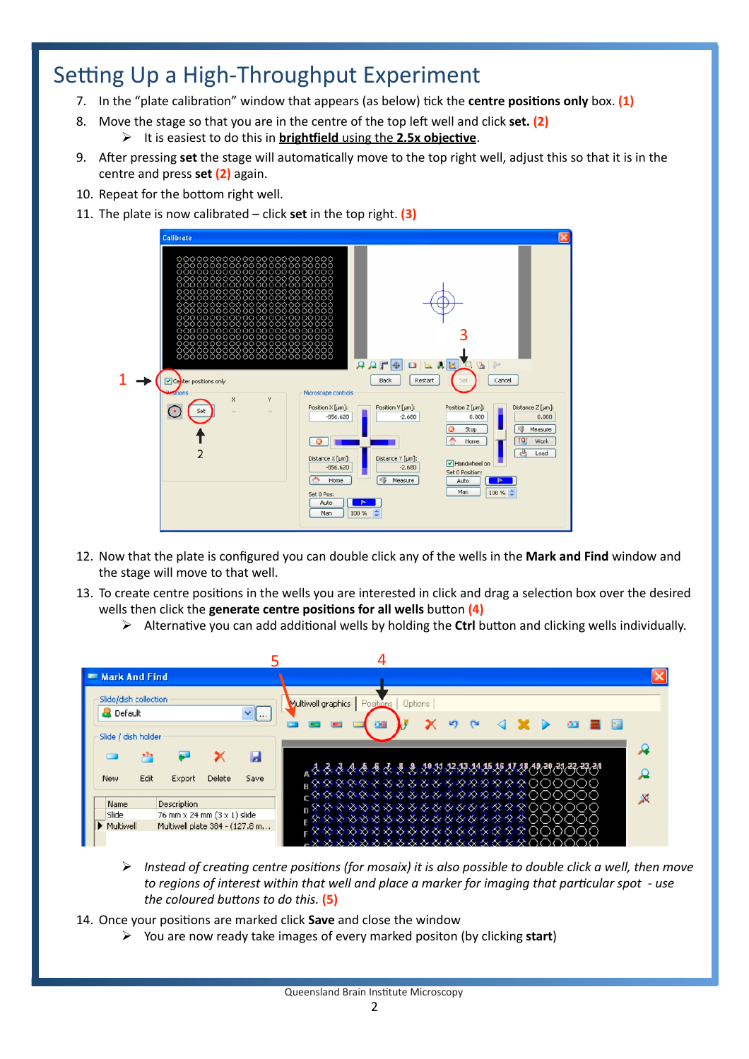### Setting Up a High-Throughput Experiment

- 7. In the "plate calibration" window that appears (as below) tick the **centre positions only** box. **(1)**
- 8. Move the stage so that you are in the centre of the top le` well and click **set. (2)**
	- It is easiest to do this in **brightfield** using the 2.5x objective.
- 9. After pressing set the stage will automatically move to the top right well, adjust this so that it is in the centre and press **set (2)** again.
- 10. Repeat for the bottom right well.
- 11. The plate is now calibrated click **set** in the top right. **(3)**



- 12. Now that the plate is configured you can double click any of the wells in the **Mark and Find** window and the stage will move to that well.
- 13. To create centre positions in the wells you are interested in click and drag a selection box over the desired wells then click the **generate centre positions for all wells** button (4)
	- $\triangleright$  Alternative you can add additional wells by holding the Ctrl button and clicking wells individually.



- *Instead of creating centre positions (for mosaix) it is also possible to double click a well, then move* to regions of interest within that well and place a marker for imaging that particular spot - use *the coloured buttons to do this.* (5)
- 14. Once your positions are marked click **Save** and close the window
	- You are now ready take images of every marked positon (by clicking **start**)